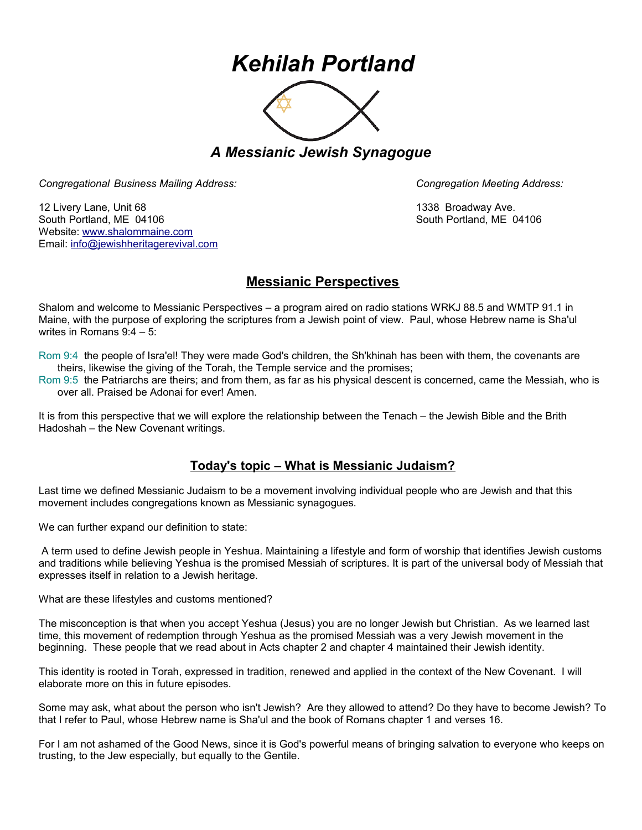## *Kehilah Portland*



*A Messianic Jewish Synagogue* 

*Congregational Business Mailing Address: Congregation Meeting Address:*

12 Livery Lane, Unit 68 1338 Broadway Ave. South Portland, ME 04106 South Portland, ME 04106 Website: [www.shalommaine.com](http://www.shalommaine.com/) Email: [info@jewishheritagerevival.com](mailto:info@jewishheritagerevival.com) 

## **Messianic Perspectives**

Shalom and welcome to Messianic Perspectives – a program aired on radio stations WRKJ 88.5 and WMTP 91.1 in Maine, with the purpose of exploring the scriptures from a Jewish point of view. Paul, whose Hebrew name is Sha'ul writes in Romans 9:4 – 5:

Rom 9:4 the people of Isra'el! They were made God's children, the Sh'khinah has been with them, the covenants are theirs, likewise the giving of the Torah, the Temple service and the promises;

Rom 9:5 the Patriarchs are theirs; and from them, as far as his physical descent is concerned, came the Messiah, who is over all. Praised be Adonai for ever! Amen.

It is from this perspective that we will explore the relationship between the Tenach – the Jewish Bible and the Brith Hadoshah – the New Covenant writings.

## **Today's topic – What is Messianic Judaism?**

Last time we defined Messianic Judaism to be a movement involving individual people who are Jewish and that this movement includes congregations known as Messianic synagogues.

We can further expand our definition to state:

A term used to define Jewish people in Yeshua. Maintaining a lifestyle and form of worship that identifies Jewish customs and traditions while believing Yeshua is the promised Messiah of scriptures. It is part of the universal body of Messiah that expresses itself in relation to a Jewish heritage.

What are these lifestyles and customs mentioned?

The misconception is that when you accept Yeshua (Jesus) you are no longer Jewish but Christian. As we learned last time, this movement of redemption through Yeshua as the promised Messiah was a very Jewish movement in the beginning. These people that we read about in Acts chapter 2 and chapter 4 maintained their Jewish identity.

This identity is rooted in Torah, expressed in tradition, renewed and applied in the context of the New Covenant. I will elaborate more on this in future episodes.

Some may ask, what about the person who isn't Jewish? Are they allowed to attend? Do they have to become Jewish? To that I refer to Paul, whose Hebrew name is Sha'ul and the book of Romans chapter 1 and verses 16.

For I am not ashamed of the Good News, since it is God's powerful means of bringing salvation to everyone who keeps on trusting, to the Jew especially, but equally to the Gentile.